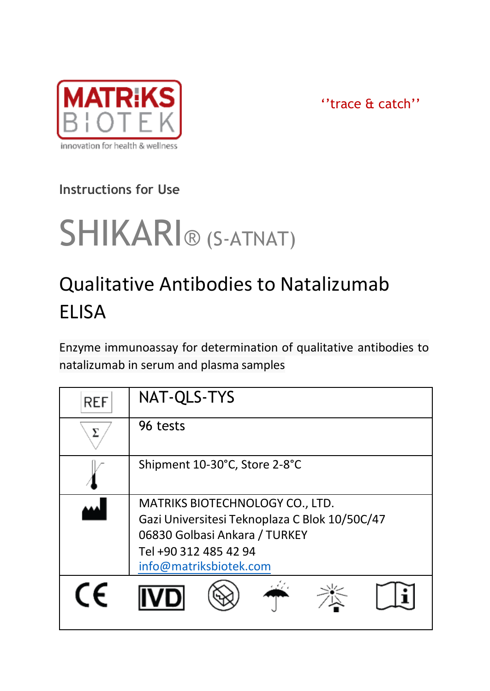

''trace & catch''

# **Instructions for Use**

# SHIKARI® (S-ATNAT)

# Qualitative Antibodies to Natalizumab ELISA

Enzyme immunoassay for determination of qualitative antibodies to natalizumab in serum and plasma samples

| REF | NAT-QLS-TYS                                                                                                                                                          |  |  |
|-----|----------------------------------------------------------------------------------------------------------------------------------------------------------------------|--|--|
| ᠶ   | 96 tests                                                                                                                                                             |  |  |
|     | Shipment 10-30°C, Store 2-8°C                                                                                                                                        |  |  |
|     | MATRIKS BIOTECHNOLOGY CO., LTD.<br>Gazi Universitesi Teknoplaza C Blok 10/50C/47<br>06830 Golbasi Ankara / TURKEY<br>Tel +90 312 485 42 94<br>info@matriksbiotek.com |  |  |
| CF  |                                                                                                                                                                      |  |  |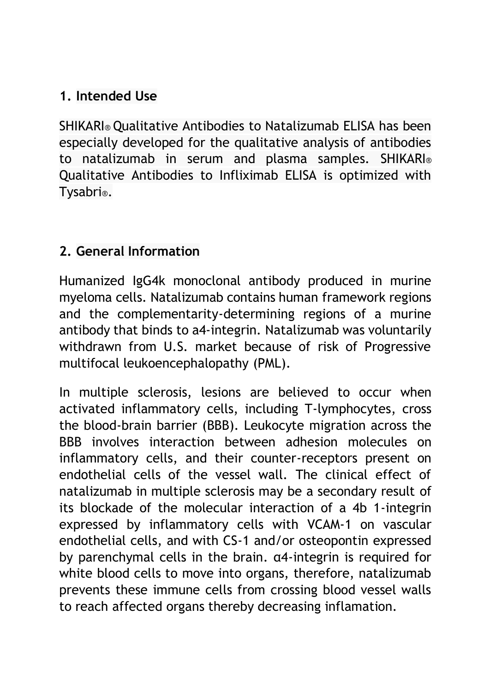# **1. Intended Use**

SHIKARI® Qualitative Antibodies to Natalizumab ELISA has been especially developed for the qualitative analysis of antibodies to natalizumab in serum and plasma samples. SHIKARI® Qualitative Antibodies to Infliximab ELISA is optimized with Tysabri®.

#### **2. General Information**

Humanized IgG4k monoclonal antibody produced in murine myeloma cells. Natalizumab contains human framework regions and the complementarity-determining regions of a murine antibody that binds to a4-integrin. Natalizumab was voluntarily withdrawn from U.S. market because of risk of Progressive multifocal leukoencephalopathy (PML).

In multiple sclerosis, lesions are believed to occur when activated inflammatory cells, including T-lymphocytes, cross the blood-brain barrier (BBB). Leukocyte migration across the BBB involves interaction between adhesion molecules on inflammatory cells, and their counter-receptors present on endothelial cells of the vessel wall. The clinical effect of natalizumab in multiple sclerosis may be a secondary result of its blockade of the molecular interaction of a 4b 1-integrin expressed by inflammatory cells with VCAM-1 on vascular endothelial cells, and with CS-1 and/or osteopontin expressed by parenchymal cells in the brain. α4-integrin is required for white blood cells to move into organs, therefore, natalizumab prevents these immune cells from crossing blood vessel walls to reach affected organs thereby decreasing inflamation.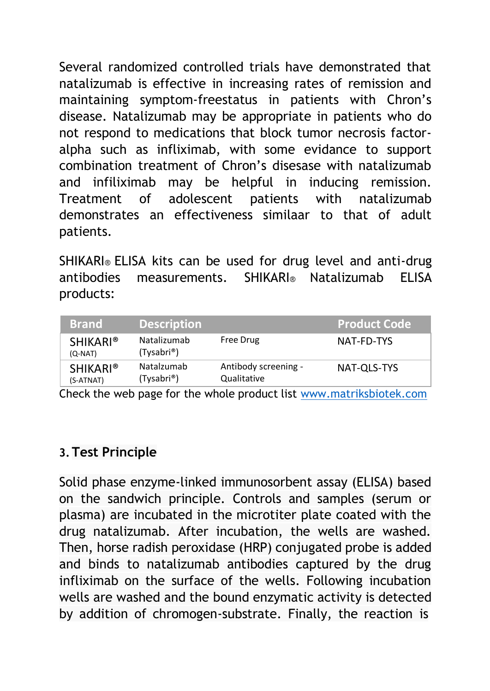Several randomized controlled trials have demonstrated that natalizumab is effective in increasing rates of remission and maintaining symptom-freestatus in patients with Chron's disease. Natalizumab may be appropriate in patients who do not respond to medications that block tumor necrosis factoralpha such as infliximab, with some evidance to support combination treatment of Chron's disesase with natalizumab and infiliximab may be helpful in inducing remission. Treatment of adolescent patients with natalizumab demonstrates an effectiveness similaar to that of adult patients.

SHIKARI® ELISA kits can be used for drug level and anti-drug antibodies measurements. SHIKARI® Natalizumab ELISA products:

| <b>Brand</b>                 | <b>Description</b>        |                                     | <b>Product Code</b> |
|------------------------------|---------------------------|-------------------------------------|---------------------|
| <b>SHIKARI®</b><br>(Q-NAT)   | Natalizumab<br>(Tysabri®) | Free Drug                           | NAT-FD-TYS          |
| <b>SHIKARI®</b><br>(S-ATNAT) | Natalzumab<br>(Tysabri®)  | Antibody screening -<br>Qualitative | NAT-OLS-TYS         |

Check the web page for the whole product list [www.matriksbiotek.com](file:///C:/Users/Matrix/Documents/www.matriksbiotek.com)

#### **3.Test Principle**

Solid phase enzyme-linked immunosorbent assay (ELISA) based on the sandwich principle. Controls and samples (serum or plasma) are incubated in the microtiter plate coated with the drug natalizumab. After incubation, the wells are washed. Then, horse radish peroxidase (HRP) conjugated probe is added and binds to natalizumab antibodies captured by the drug infliximab on the surface of the wells. Following incubation wells are washed and the bound enzymatic activity is detected by addition of chromogen-substrate. Finally, the reaction is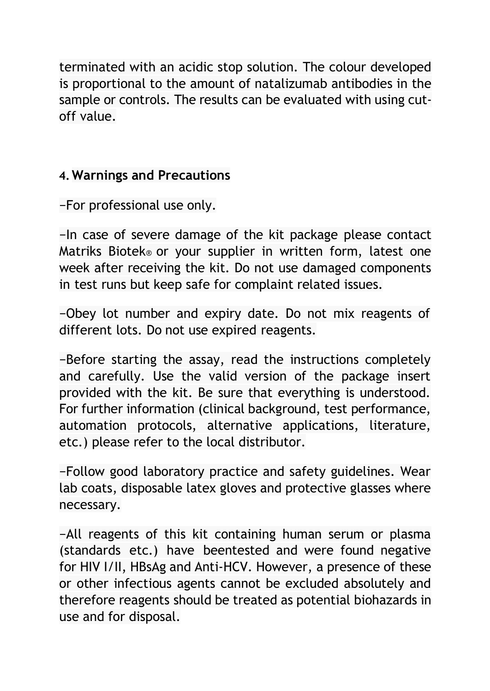terminated with an acidic stop solution. The colour developed is proportional to the amount of natalizumab antibodies in the sample or controls. The results can be evaluated with using cutoff value.

#### **4.Warnings and Precautions**

−For professional use only.

−In case of severe damage of the kit package please contact Matriks Biotek® or your supplier in written form, latest one week after receiving the kit. Do not use damaged components in test runs but keep safe for complaint related issues.

−Obey lot number and expiry date. Do not mix reagents of different lots. Do not use expired reagents.

−Before starting the assay, read the instructions completely and carefully. Use the valid version of the package insert provided with the kit. Be sure that everything is understood. For further information (clinical background, test performance, automation protocols, alternative applications, literature, etc.) please refer to the local distributor.

−Follow good laboratory practice and safety guidelines. Wear lab coats, disposable latex gloves and protective glasses where necessary.

−All reagents of this kit containing human serum or plasma (standards etc.) have beentested and were found negative for HIV I/II, HBsAg and Anti-HCV. However, a presence of these or other infectious agents cannot be excluded absolutely and therefore reagents should be treated as potential biohazards in use and for disposal.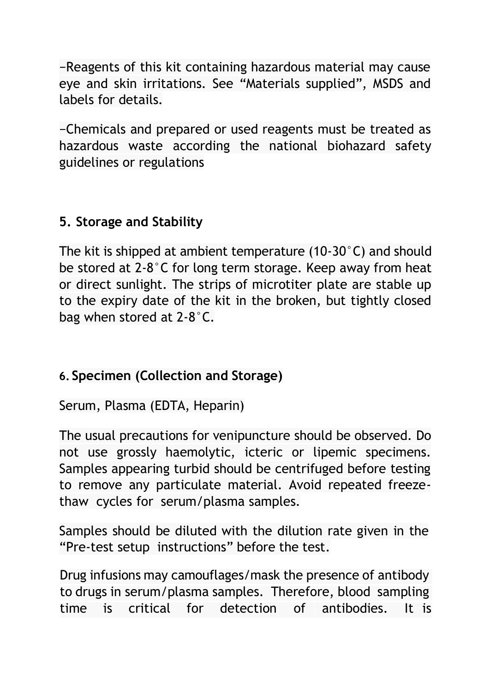−Reagents of this kit containing hazardous material may cause eye and skin irritations. See "Materials supplied", MSDS and labels for details.

−Chemicals and prepared or used reagents must be treated as hazardous waste according the national biohazard safety guidelines or regulations

# **5. Storage and Stability**

The kit is shipped at ambient temperature (10-30°C) and should be stored at 2-8°C for long term storage. Keep away from heat or direct sunlight. The strips of microtiter plate are stable up to the expiry date of the kit in the broken, but tightly closed bag when stored at 2-8°C.

# **6. Specimen (Collection and Storage)**

Serum, Plasma (EDTA, Heparin)

The usual precautions for venipuncture should be observed. Do not use grossly haemolytic, icteric or lipemic specimens. Samples appearing turbid should be centrifuged before testing to remove any particulate material. Avoid repeated freezethaw cycles for serum/plasma samples.

Samples should be diluted with the dilution rate given in the "Pre-test setup instructions" before the test.

Drug infusions may camouflages/mask the presence of antibody to drugs in serum/plasma samples. Therefore, blood sampling time is critical for detection of antibodies. It is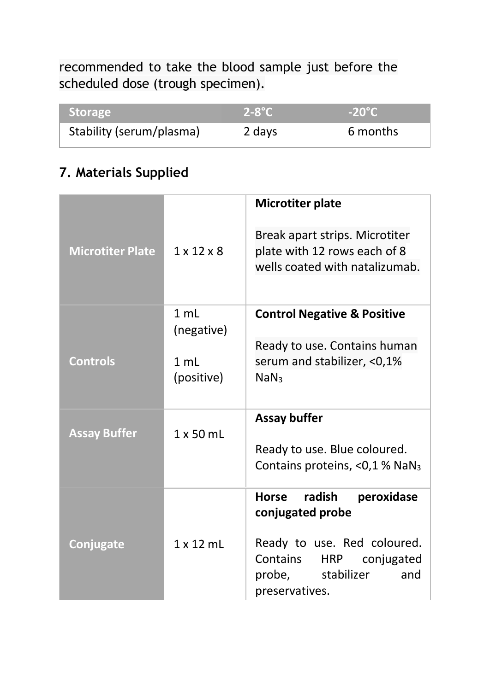recommended to take the blood sample just before the scheduled dose (trough specimen).

| <b>Storage</b>           | $2-8^{\circ}C$ | $-20^{\circ}$ C |
|--------------------------|----------------|-----------------|
| Stability (serum/plasma) | 2 days         | 6 months        |

# **7. Materials Supplied**

| <b>Microtiter Plate</b> | $1 \times 12 \times 8$ | <b>Microtiter plate</b><br>Break apart strips. Microtiter<br>plate with 12 rows each of 8<br>wells coated with natalizumab. |
|-------------------------|------------------------|-----------------------------------------------------------------------------------------------------------------------------|
|                         | $1 \text{ ml}$         |                                                                                                                             |
|                         | (negative)             | <b>Control Negative &amp; Positive</b>                                                                                      |
| <b>Controls</b>         | 1 mL                   | Ready to use. Contains human<br>serum and stabilizer, <0,1%                                                                 |
|                         | (positive)             | NaN <sub>3</sub>                                                                                                            |
| <b>Assay Buffer</b>     | $1 \times 50$ ml       | Assay buffer                                                                                                                |
|                         |                        | Ready to use. Blue coloured.<br>Contains proteins, $<$ 0,1 % NaN <sub>3</sub>                                               |
|                         |                        | radish<br>peroxidase<br>Horse<br>conjugated probe                                                                           |
| Conjugate               | $1 \times 12$ ml       | Ready to use. Red coloured.<br>Contains<br><b>HRP</b><br>conjugated<br>probe, stabilizer<br>and<br>preservatives.           |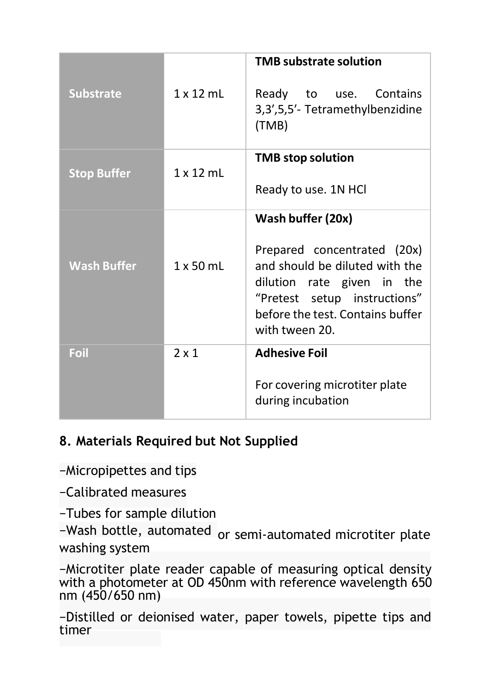| <b>Substrate</b>   | $1 \times 12$ ml | <b>TMB substrate solution</b><br>Ready to use. Contains<br>3,3',5,5'- Tetramethylbenzidine<br>(TMB)                                                                                                    |
|--------------------|------------------|--------------------------------------------------------------------------------------------------------------------------------------------------------------------------------------------------------|
| <b>Stop Buffer</b> | $1 \times 12$ ml | <b>TMB</b> stop solution<br>Ready to use. 1N HCl                                                                                                                                                       |
| <b>Wash Buffer</b> | $1 \times 50$ ml | Wash buffer (20x)<br>Prepared concentrated (20x)<br>and should be diluted with the<br>dilution rate given in the<br>"Pretest setup instructions"<br>before the test. Contains buffer<br>with tween 20. |
| Foil               | $2 \times 1$     | <b>Adhesive Foil</b><br>For covering microtiter plate<br>during incubation                                                                                                                             |

## **8. Materials Required but Not Supplied**

−Micropipettes and tips

−Calibrated measures

−Tubes for sample dilution

washing system −Wash bottle, automated <sub>or semi-automated microtiter plate</sub>

−Microtiter plate reader capable of measuring optical density with a photometer at OD 450nm with reference wavelength 650 nm (450/650 nm)

−Distilled or deionised water, paper towels, pipette tips and timer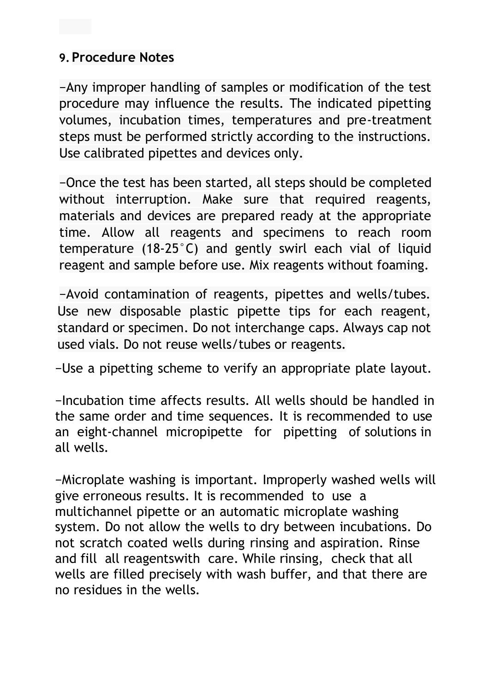#### **9.Procedure Notes**

−Any improper handling of samples or modification of the test procedure may influence the results. The indicated pipetting volumes, incubation times, temperatures and pre-treatment steps must be performed strictly according to the instructions. Use calibrated pipettes and devices only.

−Once the test has been started, all steps should be completed without interruption. Make sure that required reagents, materials and devices are prepared ready at the appropriate time. Allow all reagents and specimens to reach room temperature (18-25°C) and gently swirl each vial of liquid reagent and sample before use. Mix reagents without foaming.

−Avoid contamination of reagents, pipettes and wells/tubes. Use new disposable plastic pipette tips for each reagent, standard or specimen. Do not interchange caps. Always cap not used vials. Do not reuse wells/tubes or reagents.

−Use a pipetting scheme to verify an appropriate plate layout.

−Incubation time affects results. All wells should be handled in the same order and time sequences. It is recommended to use an eight-channel micropipette for pipetting of solutions in all wells.

−Microplate washing is important. Improperly washed wells will give erroneous results. It is recommended to use a multichannel pipette or an automatic microplate washing system. Do not allow the wells to dry between incubations. Do not scratch coated wells during rinsing and aspiration. Rinse and fill all reagentswith care. While rinsing, check that all wells are filled precisely with wash buffer, and that there are no residues in the wells.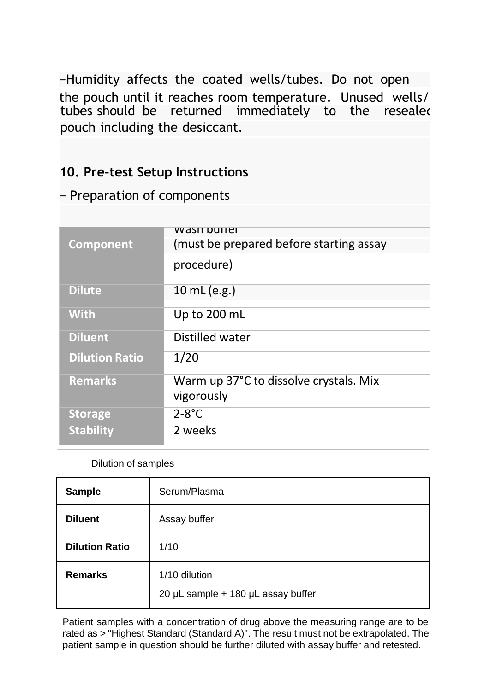the pouch until it reaches room temperature. Unused wells/ tubes should be returned immediately to the resealed pouch including the desiccant. −Humidity affects the coated wells/tubes. Do not open

#### **10. Pre-test Setup Instructions**

#### − Preparation of components

|                       | <u>wasn buner</u>                       |
|-----------------------|-----------------------------------------|
| Component             | (must be prepared before starting assay |
|                       |                                         |
|                       | procedure)                              |
|                       |                                         |
|                       |                                         |
| <b>Dilute</b>         | 10 mL (e.g.)                            |
|                       |                                         |
| <b>With</b>           | Up to 200 mL                            |
|                       |                                         |
| <b>Diluent</b>        | Distilled water                         |
|                       |                                         |
| <b>Dilution Ratio</b> | 1/20                                    |
|                       |                                         |
| <b>Remarks</b>        | Warm up 37°C to dissolve crystals. Mix  |
|                       |                                         |
|                       | vigorously                              |
| <b>Storage</b>        | $2 - 8^\circ C$                         |
|                       |                                         |
| <b>Stability</b>      | 2 weeks                                 |
|                       |                                         |

#### − Dilution of samples

| Sample                | Serum/Plasma                                        |
|-----------------------|-----------------------------------------------------|
| <b>Diluent</b>        | Assay buffer                                        |
| <b>Dilution Ratio</b> | 1/10                                                |
| <b>Remarks</b>        | 1/10 dilution<br>20 µL sample + 180 µL assay buffer |

Patient samples with a concentration of drug above the measuring range are to be rated as > "Highest Standard (Standard A)". The result must not be extrapolated. The patient sample in question should be further diluted with assay buffer and retested.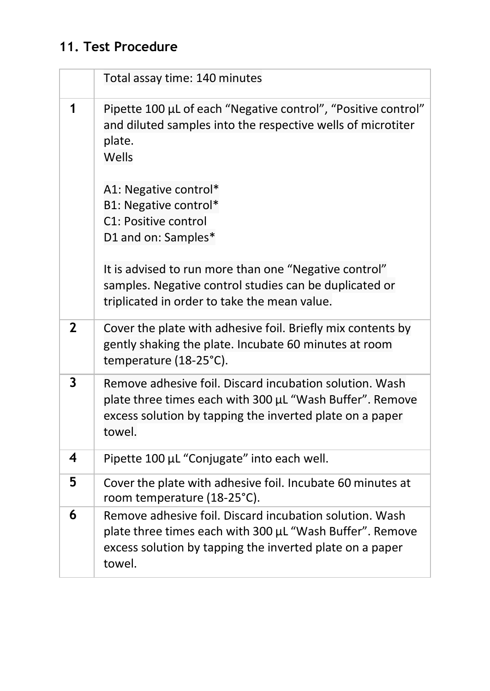# **11. Test Procedure**

|                | Total assay time: 140 minutes                                                                                                                                                             |
|----------------|-------------------------------------------------------------------------------------------------------------------------------------------------------------------------------------------|
| 1              | Pipette 100 µL of each "Negative control", "Positive control"<br>and diluted samples into the respective wells of microtiter<br>plate.<br>Wells                                           |
|                | A1: Negative control*<br>B1: Negative control*<br>C1: Positive control<br>D1 and on: Samples*<br>It is advised to run more than one "Negative control"                                    |
|                | samples. Negative control studies can be duplicated or<br>triplicated in order to take the mean value.                                                                                    |
| $\overline{2}$ | Cover the plate with adhesive foil. Briefly mix contents by<br>gently shaking the plate. Incubate 60 minutes at room<br>temperature (18-25°C).                                            |
| 3              | Remove adhesive foil. Discard incubation solution. Wash<br>plate three times each with 300 µL "Wash Buffer". Remove<br>excess solution by tapping the inverted plate on a paper<br>towel. |
| 4              | Pipette 100 µL "Conjugate" into each well.                                                                                                                                                |
| 5              | Cover the plate with adhesive foil. Incubate 60 minutes at<br>room temperature (18-25°C).                                                                                                 |
| 6              | Remove adhesive foil. Discard incubation solution. Wash<br>plate three times each with 300 µL "Wash Buffer". Remove<br>excess solution by tapping the inverted plate on a paper<br>towel. |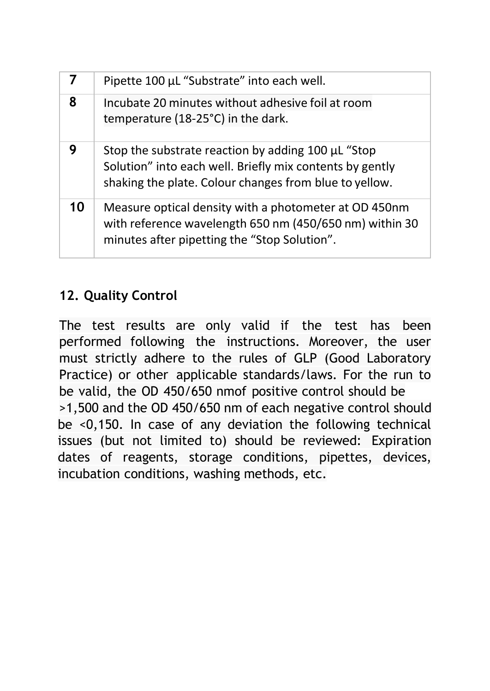| 7  | Pipette 100 µL "Substrate" into each well.                                                                                                                               |
|----|--------------------------------------------------------------------------------------------------------------------------------------------------------------------------|
| 8  | Incubate 20 minutes without adhesive foil at room<br>temperature (18-25°C) in the dark.                                                                                  |
| 9  | Stop the substrate reaction by adding 100 µL "Stop<br>Solution" into each well. Briefly mix contents by gently<br>shaking the plate. Colour changes from blue to yellow. |
| 10 | Measure optical density with a photometer at OD 450nm<br>with reference wavelength 650 nm (450/650 nm) within 30<br>minutes after pipetting the "Stop Solution".         |

# **12. Quality Control**

The test results are only valid if the test has been performed following the instructions. Moreover, the user must strictly adhere to the rules of GLP (Good Laboratory Practice) or other applicable standards/laws. For the run to be valid, the OD 450/650 nmof positive control should be >1,500 and the OD 450/650 nm of each negative control should be <0,150. In case of any deviation the following technical issues (but not limited to) should be reviewed: Expiration dates of reagents, storage conditions, pipettes, devices, incubation conditions, washing methods, etc.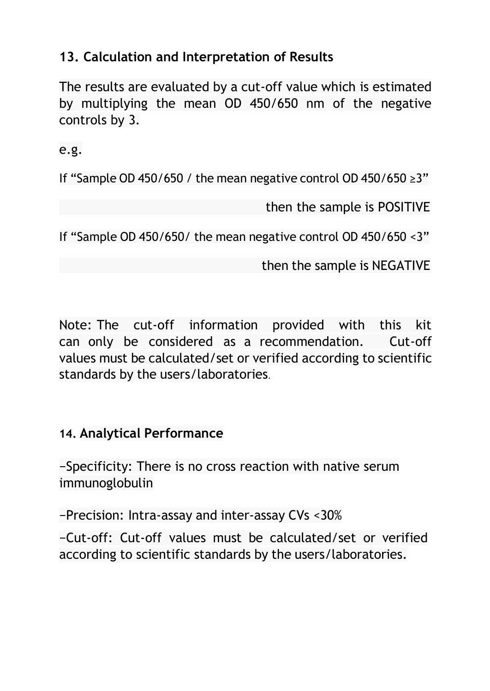# **13. Calculation and Interpretation of Results**

The results are evaluated by a cut-off value which is estimated by multiplying the mean OD 450/650 nm of the negative controls by 3.

e.g.

If "Sample OD 450/650 / the mean negative control OD 450/650 ≥3"

then the sample is POSITIVE

If "Sample OD 450/650/ the mean negative control OD 450/650 <3"

then the sample is NEGATIVE

Note: The cut-off information provided with this kit can only be considered as a recommendation. Cut-off values must be calculated/set or verified according to scientific standards by the users/laboratories.

## **14. Analytical Performance**

−Specificity: There is no cross reaction with native serum immunoglobulin

−Precision: Intra-assay and inter-assay CVs <30%

−Cut-off: Cut-off values must be calculated/set or verified according to scientific standards by the users/laboratories.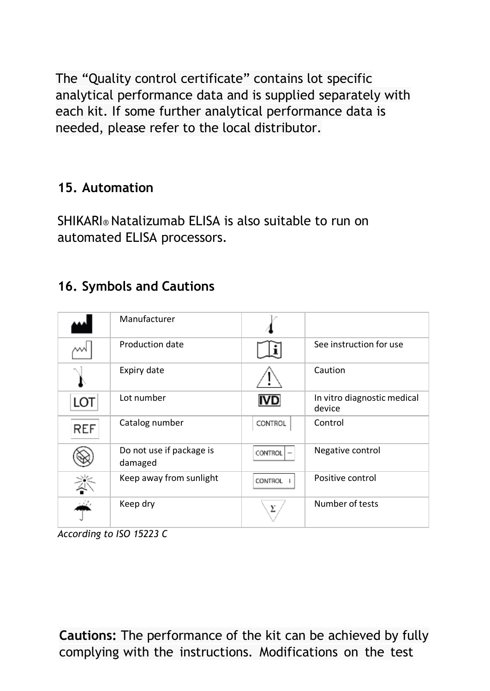The "Quality control certificate" contains lot specific analytical performance data and is supplied separately with each kit. If some further analytical performance data is needed, please refer to the local distributor.

# **15. Automation**

SHIKARI® Natalizumab ELISA is also suitable to run on automated ELISA processors.

# **16. Symbols and Cautions**

|            | Manufacturer                        |                |                                       |
|------------|-------------------------------------|----------------|---------------------------------------|
|            | Production date                     |                | See instruction for use               |
|            | Expiry date                         |                | Caution                               |
| LOT        | Lot number                          | IVD.           | In vitro diagnostic medical<br>device |
| <b>REF</b> | Catalog number                      | CONTROL        | Control                               |
|            | Do not use if package is<br>damaged | CONTROL        | Negative control                      |
| 迷          | Keep away from sunlight             | <b>CONTROL</b> | Positive control                      |
|            | Keep dry                            | Σ              | Number of tests                       |

*According to ISO 15223 C*

**Cautions:** The performance of the kit can be achieved by fully complying with the instructions. Modifications on the test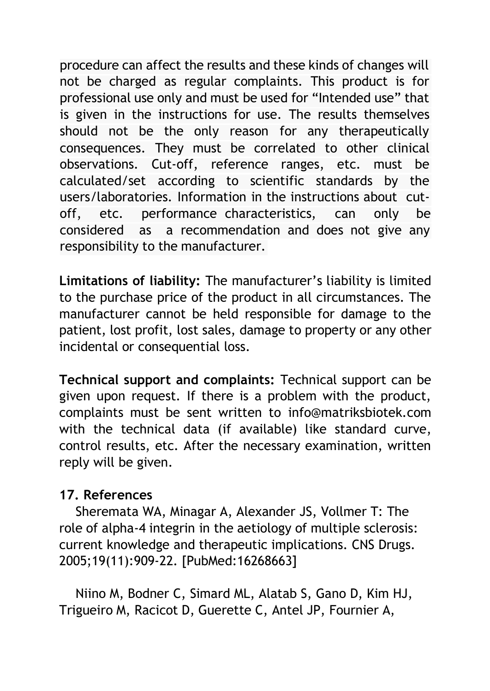procedure can affect the results and these kinds of changes will not be charged as regular complaints. This product is for professional use only and must be used for "Intended use" that is given in the instructions for use. The results themselves should not be the only reason for any therapeutically consequences. They must be correlated to other clinical observations. Cut-off, reference ranges, etc. must be calculated/set according to scientific standards by the users/laboratories. Information in the instructions about cutoff, etc. performance characteristics, can only be considered as a recommendation and does not give any responsibility to the manufacturer.

**Limitations of liability:** The manufacturer's liability is limited to the purchase price of the product in all circumstances. The manufacturer cannot be held responsible for damage to the patient, lost profit, lost sales, damage to property or any other incidental or consequential loss.

**Technical support and complaints:** Technical support can be given upon request. If there is a problem with the product, complaints must be sent written to [info@matriksbiotek.com](mailto:info@matriksbiotek.com) with the technical data (if available) like standard curve, control results, etc. After the necessary examination, written reply will be given.

#### **17. References**

Sheremata WA, Minagar A, Alexander JS, Vollmer T: The role of alpha-4 integrin in the aetiology of multiple sclerosis: current knowledge and therapeutic implications. CNS Drugs. 2005;19(11):909-22. [PubMed:16268663]

Niino M, Bodner C, Simard ML, Alatab S, Gano D, Kim HJ, Trigueiro M, Racicot D, Guerette C, Antel JP, Fournier A,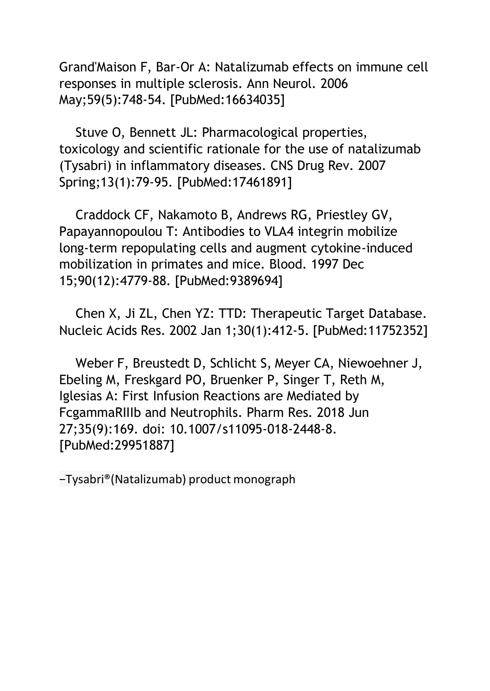Grand'Maison F, Bar-Or A: Natalizumab effects on immune cell responses in multiple sclerosis. Ann Neurol. 2006 May;59(5):748-54. [PubMed:16634035]

Stuve O, Bennett JL: Pharmacological properties, toxicology and scientific rationale for the use of natalizumab (Tysabri) in inflammatory diseases. CNS Drug Rev. 2007 Spring;13(1):79-95. [PubMed:17461891]

Craddock CF, Nakamoto B, Andrews RG, Priestley GV, Papayannopoulou T: Antibodies to VLA4 integrin mobilize long-term repopulating cells and augment cytokine-induced mobilization in primates and mice. Blood. 1997 Dec 15;90(12):4779-88. [PubMed:9389694]

Chen X, Ji ZL, Chen YZ: TTD: Therapeutic Target Database. Nucleic Acids Res. 2002 Jan 1;30(1):412-5. [PubMed:11752352]

Weber F, Breustedt D, Schlicht S, Meyer CA, Niewoehner J, Ebeling M, Freskgard PO, Bruenker P, Singer T, Reth M, Iglesias A: First Infusion Reactions are Mediated by FcgammaRIIIb and Neutrophils. Pharm Res. 2018 Jun 27;35(9):169. doi: 10.1007/s11095-018-2448-8. [PubMed:29951887]

−Tysabri®(Natalizumab) product monograph